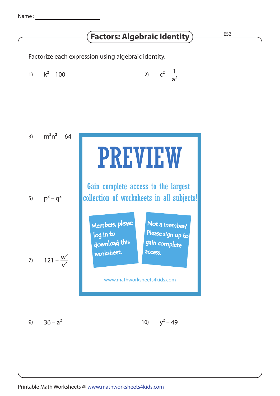